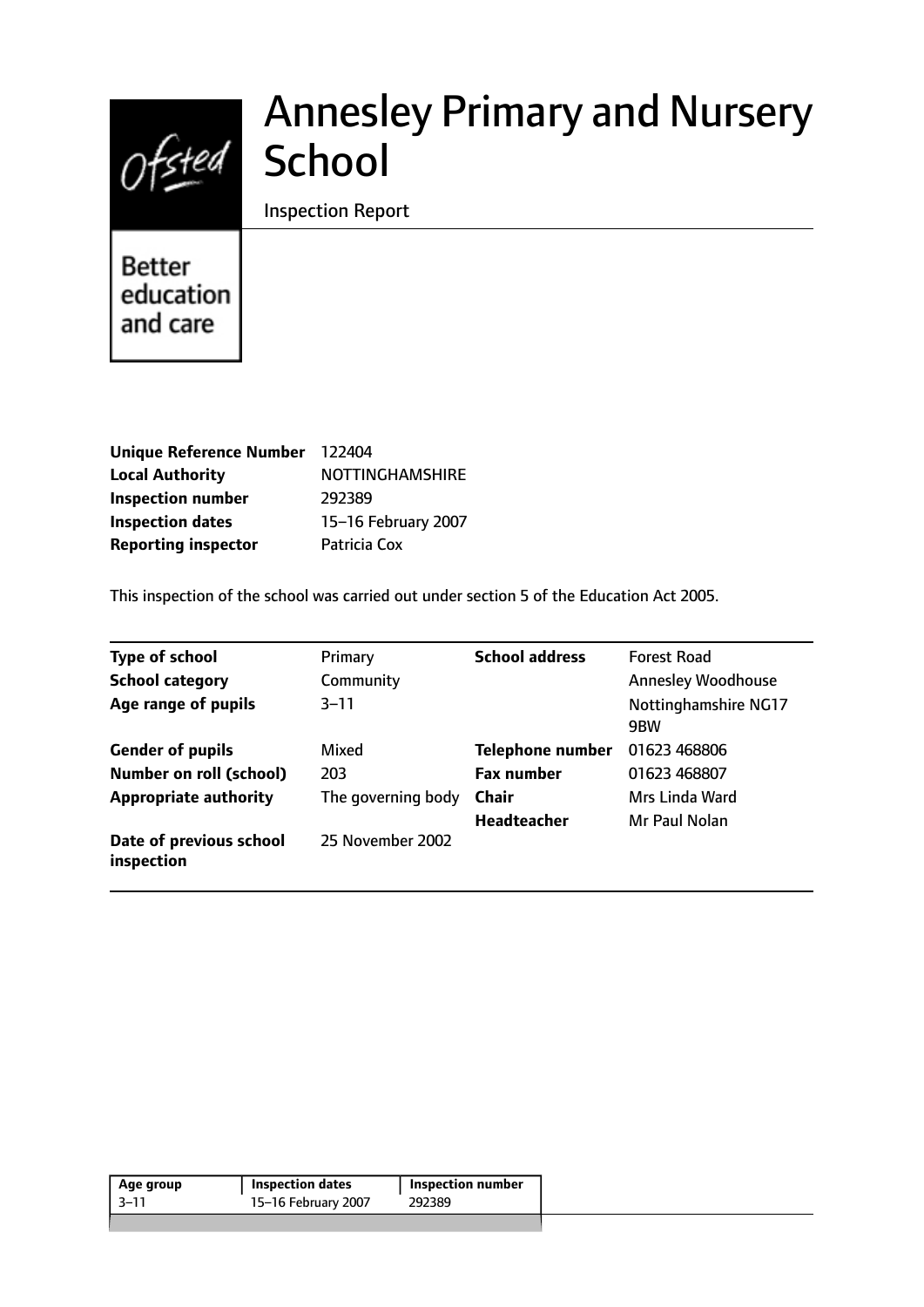

# Annesley Primary and Nursery

Inspection Report

Better education and care

| Unique Reference Number 122404 |                        |
|--------------------------------|------------------------|
| <b>Local Authority</b>         | <b>NOTTINGHAMSHIRE</b> |
| <b>Inspection number</b>       | 292389                 |
| <b>Inspection dates</b>        | 15-16 February 2007    |
| <b>Reporting inspector</b>     | Patricia Cox           |

This inspection of the school was carried out under section 5 of the Education Act 2005.

| <b>Type of school</b>                 | Primary            | <b>School address</b>   | <b>Forest Road</b>                       |
|---------------------------------------|--------------------|-------------------------|------------------------------------------|
| <b>School category</b>                | Community          |                         | <b>Annesley Woodhouse</b>                |
| Age range of pupils                   | $3 - 11$           |                         | Nottinghamshire NG17<br>9 <sub>B</sub> W |
| <b>Gender of pupils</b>               | Mixed              | <b>Telephone number</b> | 01623 468806                             |
| <b>Number on roll (school)</b>        | 203                | <b>Fax number</b>       | 01623 468807                             |
| <b>Appropriate authority</b>          | The governing body | <b>Chair</b>            | Mrs Linda Ward                           |
|                                       |                    | <b>Headteacher</b>      | Mr Paul Nolan                            |
| Date of previous school<br>inspection | 25 November 2002   |                         |                                          |

| Age group | <b>Inspection dates</b> | ' Inspection number |  |
|-----------|-------------------------|---------------------|--|
| $-3 - 11$ | 15-16 February 2007     | 292389              |  |
|           |                         |                     |  |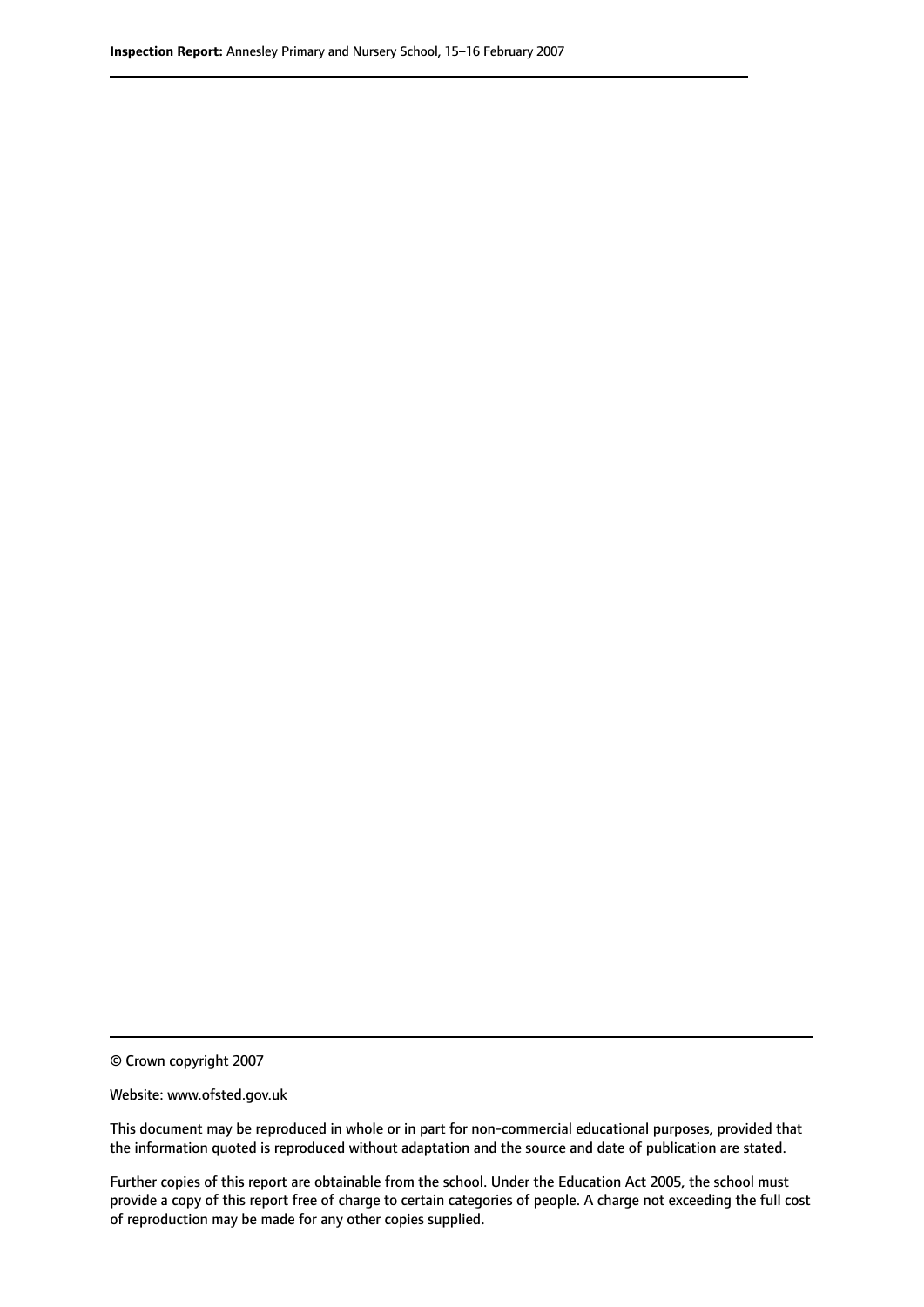© Crown copyright 2007

Website: www.ofsted.gov.uk

This document may be reproduced in whole or in part for non-commercial educational purposes, provided that the information quoted is reproduced without adaptation and the source and date of publication are stated.

Further copies of this report are obtainable from the school. Under the Education Act 2005, the school must provide a copy of this report free of charge to certain categories of people. A charge not exceeding the full cost of reproduction may be made for any other copies supplied.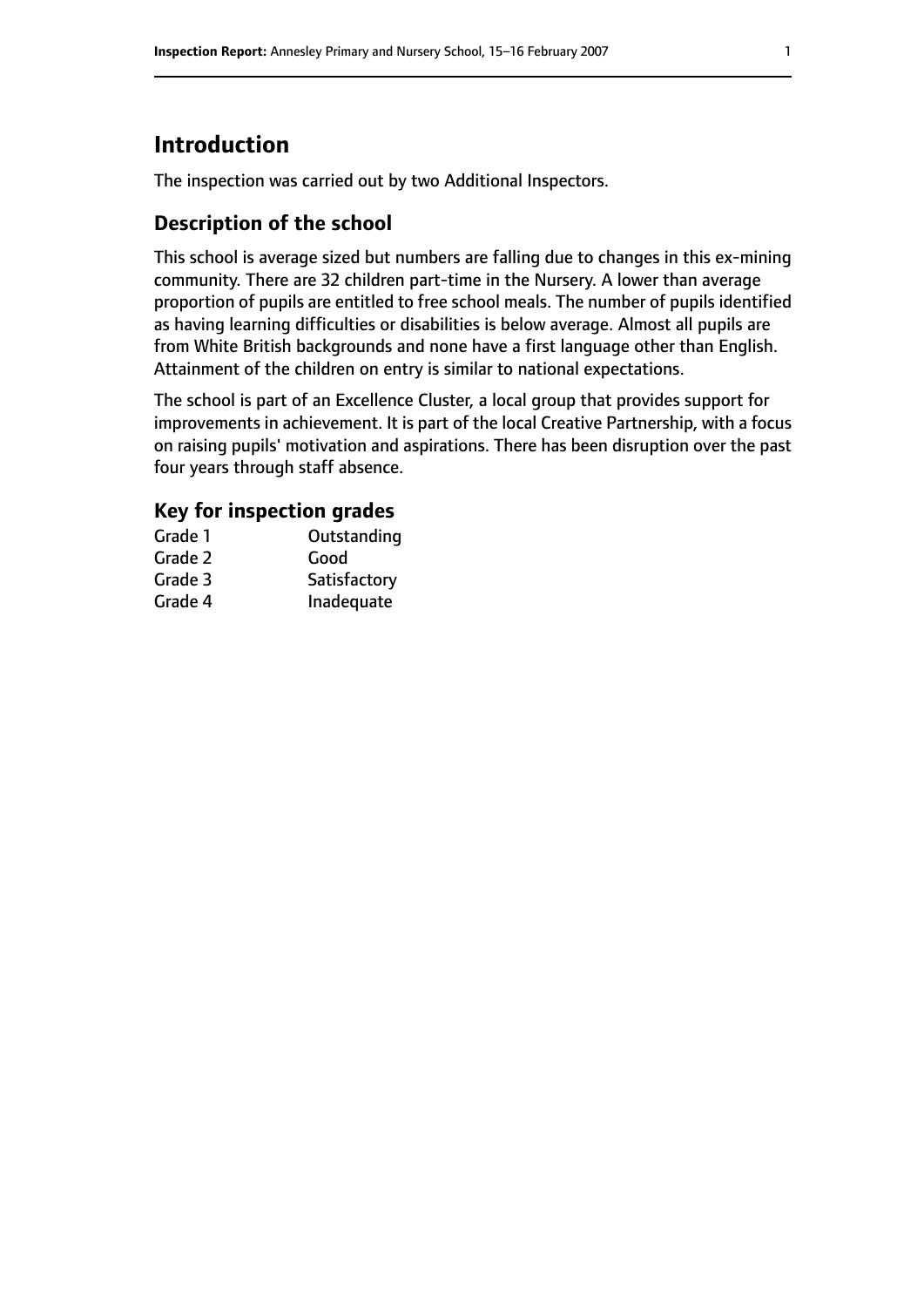# **Introduction**

The inspection was carried out by two Additional Inspectors.

## **Description of the school**

This school is average sized but numbers are falling due to changes in this ex-mining community. There are 32 children part-time in the Nursery. A lower than average proportion of pupils are entitled to free school meals. The number of pupils identified as having learning difficulties or disabilities is below average. Almost all pupils are from White British backgrounds and none have a first language other than English. Attainment of the children on entry is similar to national expectations.

The school is part of an Excellence Cluster, a local group that provides support for improvements in achievement. It is part of the local Creative Partnership, with a focus on raising pupils' motivation and aspirations. There has been disruption over the past four years through staff absence.

## **Key for inspection grades**

| Grade 1 | Outstanding  |
|---------|--------------|
| Grade 2 | Good         |
| Grade 3 | Satisfactory |
| Grade 4 | Inadequate   |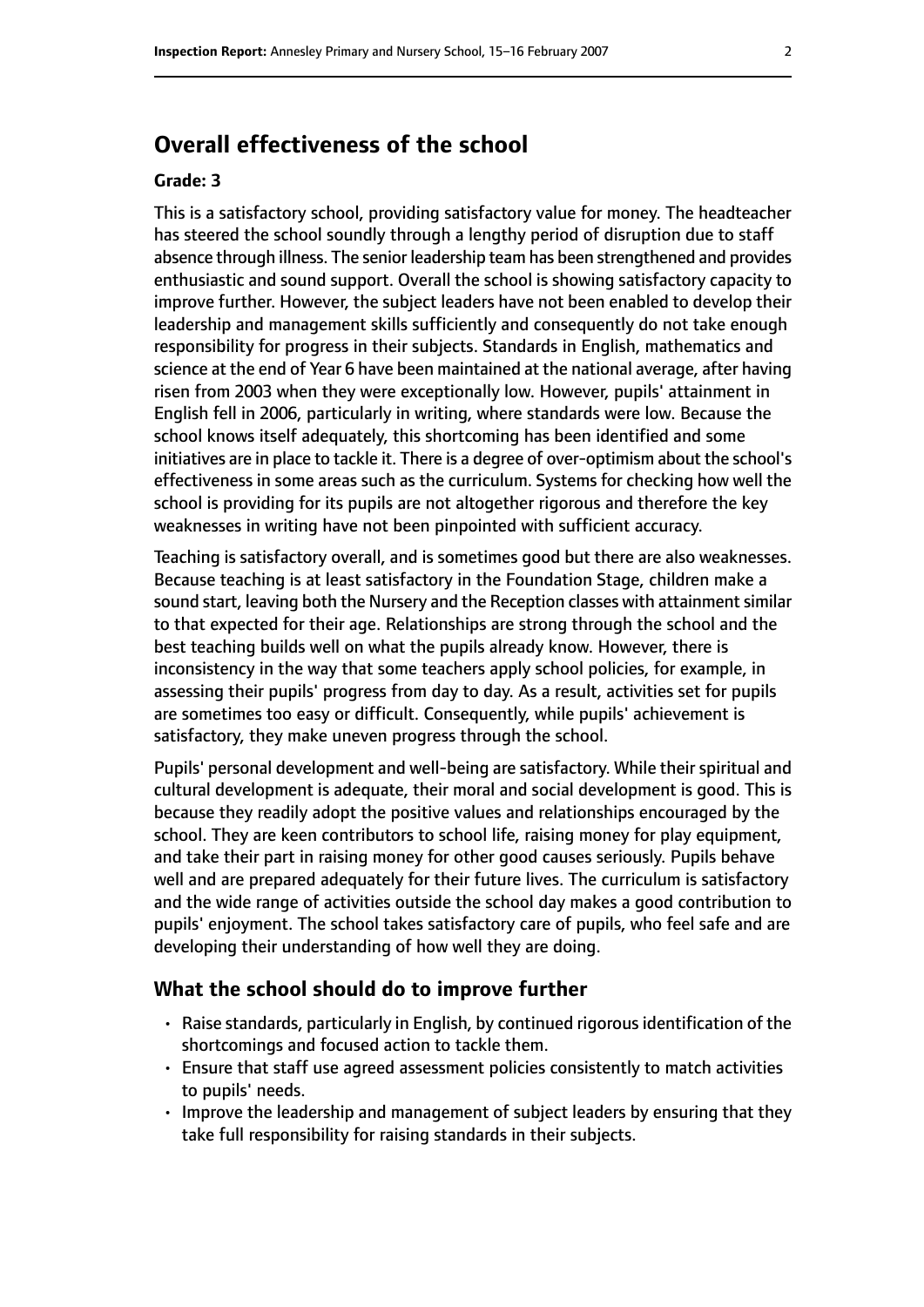# **Overall effectiveness of the school**

#### **Grade: 3**

This is a satisfactory school, providing satisfactory value for money. The headteacher has steered the school soundly through a lengthy period of disruption due to staff absence through illness. The senior leadership team has been strengthened and provides enthusiastic and sound support. Overall the school is showing satisfactory capacity to improve further. However, the subject leaders have not been enabled to develop their leadership and management skills sufficiently and consequently do not take enough responsibility for progress in their subjects. Standards in English, mathematics and science at the end of Year 6 have been maintained at the national average, after having risen from 2003 when they were exceptionally low. However, pupils' attainment in English fell in 2006, particularly in writing, where standards were low. Because the school knows itself adequately, this shortcoming has been identified and some initiatives are in place to tackle it. There is a degree of over-optimism about the school's effectiveness in some areas such as the curriculum. Systems for checking how well the school is providing for its pupils are not altogether rigorous and therefore the key weaknesses in writing have not been pinpointed with sufficient accuracy.

Teaching is satisfactory overall, and is sometimes good but there are also weaknesses. Because teaching is at least satisfactory in the Foundation Stage, children make a sound start, leaving both the Nursery and the Reception classes with attainment similar to that expected for their age. Relationships are strong through the school and the best teaching builds well on what the pupils already know. However, there is inconsistency in the way that some teachers apply school policies, for example, in assessing their pupils' progress from day to day. As a result, activities set for pupils are sometimes too easy or difficult. Consequently, while pupils' achievement is satisfactory, they make uneven progress through the school.

Pupils' personal development and well-being are satisfactory. While their spiritual and cultural development is adequate, their moral and social development is good. This is because they readily adopt the positive values and relationships encouraged by the school. They are keen contributors to school life, raising money for play equipment, and take their part in raising money for other good causes seriously. Pupils behave well and are prepared adequately for their future lives. The curriculum is satisfactory and the wide range of activities outside the school day makes a good contribution to pupils' enjoyment. The school takes satisfactory care of pupils, who feel safe and are developing their understanding of how well they are doing.

#### **What the school should do to improve further**

- Raise standards, particularly in English, by continued rigorous identification of the shortcomings and focused action to tackle them.
- Ensure that staff use agreed assessment policies consistently to match activities to pupils' needs.
- Improve the leadership and management of subject leaders by ensuring that they take full responsibility for raising standards in their subjects.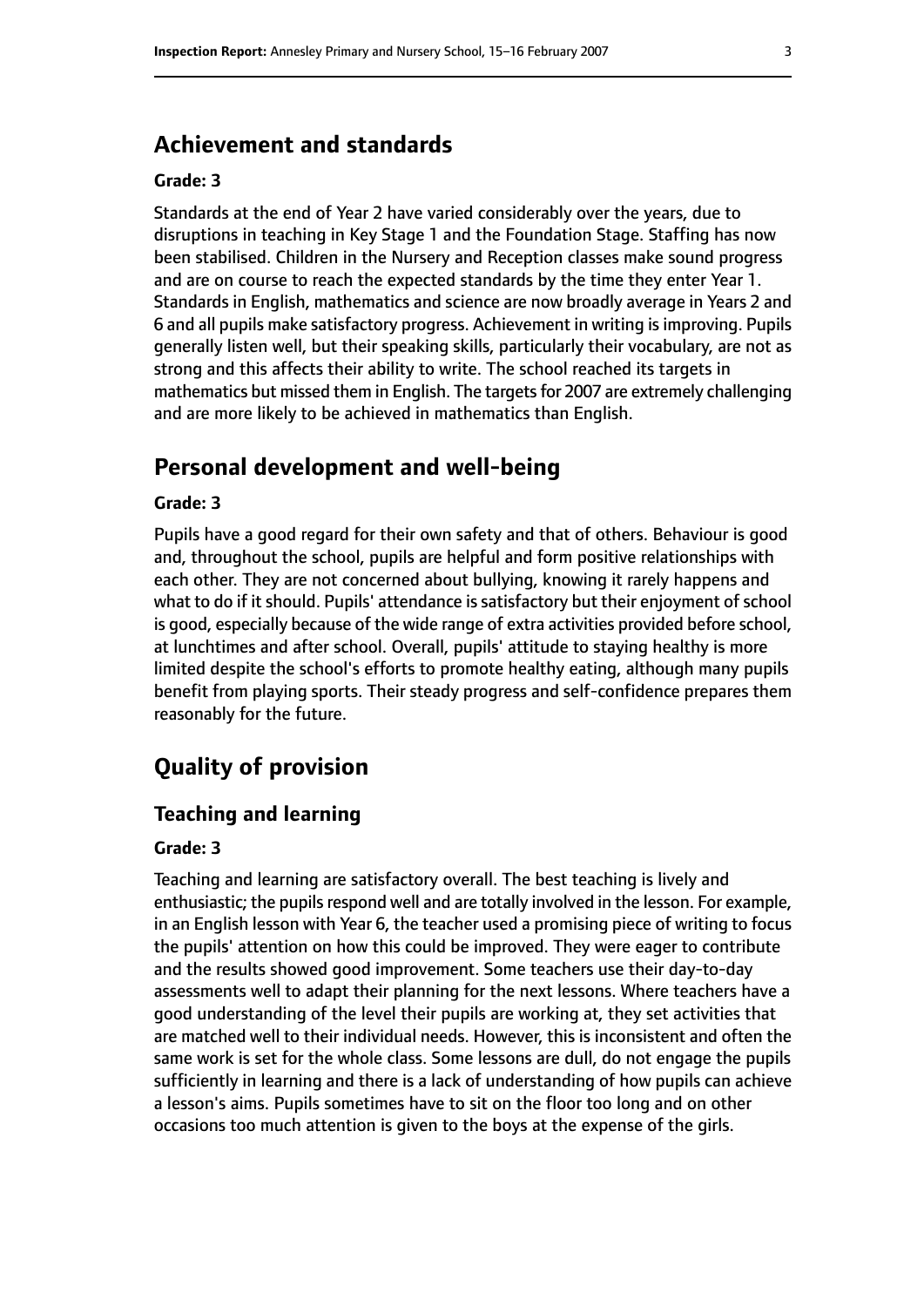## **Achievement and standards**

#### **Grade: 3**

Standards at the end of Year 2 have varied considerably over the years, due to disruptions in teaching in Key Stage 1 and the Foundation Stage. Staffing has now been stabilised. Children in the Nursery and Reception classes make sound progress and are on course to reach the expected standards by the time they enter Year 1. Standards in English, mathematics and science are now broadly average in Years 2 and 6 and all pupils make satisfactory progress. Achievement in writing is improving. Pupils generally listen well, but their speaking skills, particularly their vocabulary, are not as strong and this affects their ability to write. The school reached its targets in mathematics but missed them in English. The targets for 2007 are extremely challenging and are more likely to be achieved in mathematics than English.

# **Personal development and well-being**

#### **Grade: 3**

Pupils have a good regard for their own safety and that of others. Behaviour is good and, throughout the school, pupils are helpful and form positive relationships with each other. They are not concerned about bullying, knowing it rarely happens and what to do if it should. Pupils' attendance is satisfactory but their enjoyment of school is good, especially because of the wide range of extra activities provided before school, at lunchtimes and after school. Overall, pupils' attitude to staying healthy is more limited despite the school's efforts to promote healthy eating, although many pupils benefit from playing sports. Their steady progress and self-confidence prepares them reasonably for the future.

# **Quality of provision**

#### **Teaching and learning**

#### **Grade: 3**

Teaching and learning are satisfactory overall. The best teaching is lively and enthusiastic; the pupils respond well and are totally involved in the lesson. For example, in an English lesson with Year 6, the teacher used a promising piece of writing to focus the pupils' attention on how this could be improved. They were eager to contribute and the results showed good improvement. Some teachers use their day-to-day assessments well to adapt their planning for the next lessons. Where teachers have a good understanding of the level their pupils are working at, they set activities that are matched well to their individual needs. However, this is inconsistent and often the same work is set for the whole class. Some lessons are dull, do not engage the pupils sufficiently in learning and there is a lack of understanding of how pupils can achieve a lesson's aims. Pupils sometimes have to sit on the floor too long and on other occasions too much attention is given to the boys at the expense of the girls.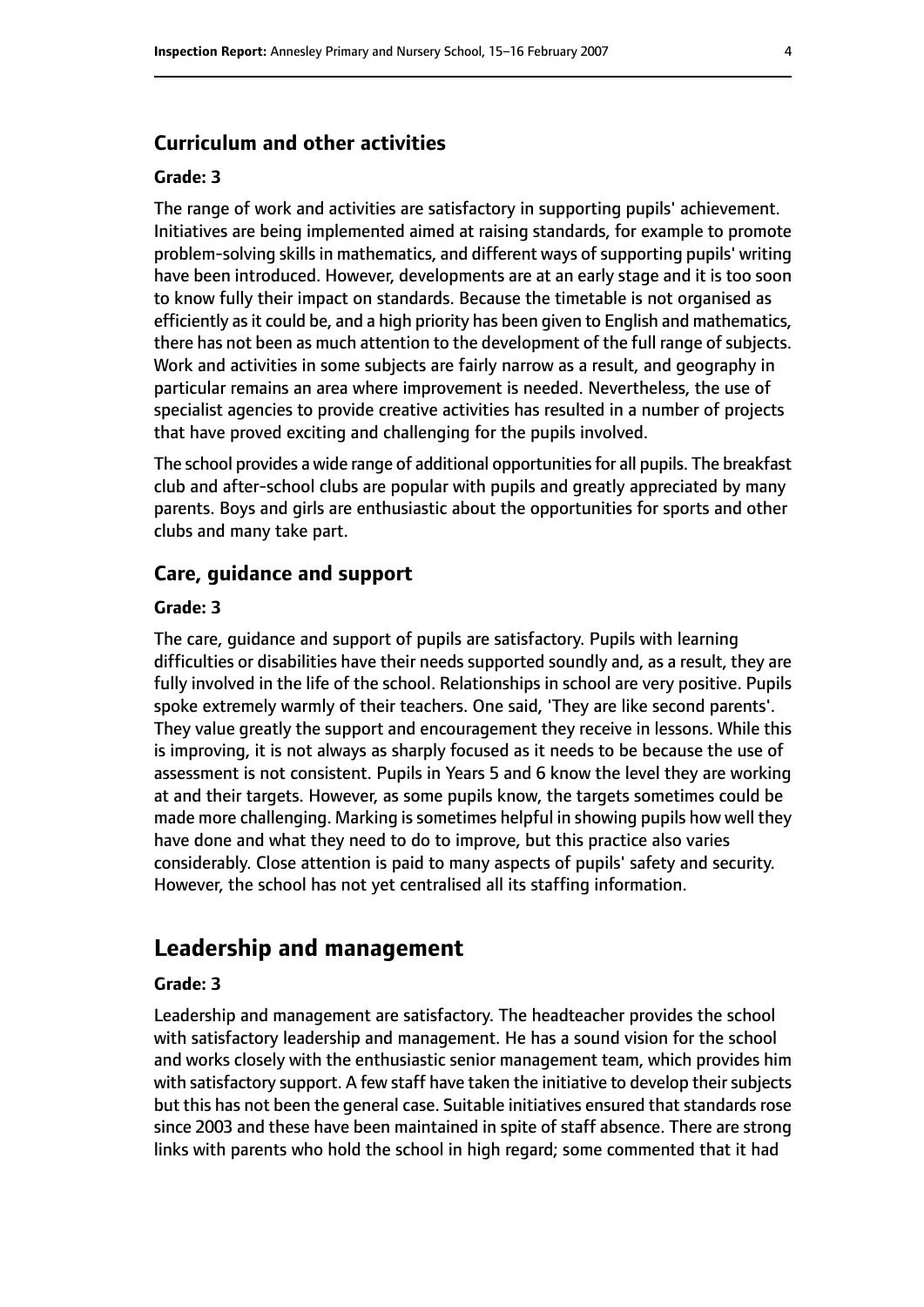#### **Curriculum and other activities**

#### **Grade: 3**

The range of work and activities are satisfactory in supporting pupils' achievement. Initiatives are being implemented aimed at raising standards, for example to promote problem-solving skills in mathematics, and different ways of supporting pupils' writing have been introduced. However, developments are at an early stage and it is too soon to know fully their impact on standards. Because the timetable is not organised as efficiently as it could be, and a high priority has been given to English and mathematics, there has not been as much attention to the development of the full range of subjects. Work and activities in some subjects are fairly narrow as a result, and geography in particular remains an area where improvement is needed. Nevertheless, the use of specialist agencies to provide creative activities has resulted in a number of projects that have proved exciting and challenging for the pupils involved.

The school provides a wide range of additional opportunities for all pupils. The breakfast club and after-school clubs are popular with pupils and greatly appreciated by many parents. Boys and girls are enthusiastic about the opportunities for sports and other clubs and many take part.

#### **Care, guidance and support**

#### **Grade: 3**

The care, guidance and support of pupils are satisfactory. Pupils with learning difficulties or disabilities have their needs supported soundly and, as a result, they are fully involved in the life of the school. Relationships in school are very positive. Pupils spoke extremely warmly of their teachers. One said, 'They are like second parents'. They value greatly the support and encouragement they receive in lessons. While this is improving, it is not always as sharply focused as it needs to be because the use of assessment is not consistent. Pupils in Years 5 and 6 know the level they are working at and their targets. However, as some pupils know, the targets sometimes could be made more challenging. Marking is sometimes helpful in showing pupils how well they have done and what they need to do to improve, but this practice also varies considerably. Close attention is paid to many aspects of pupils' safety and security. However, the school has not yet centralised all its staffing information.

## **Leadership and management**

#### **Grade: 3**

Leadership and management are satisfactory. The headteacher provides the school with satisfactory leadership and management. He has a sound vision for the school and works closely with the enthusiastic senior management team, which provides him with satisfactory support. A few staff have taken the initiative to develop their subjects but this has not been the general case. Suitable initiatives ensured that standards rose since 2003 and these have been maintained in spite of staff absence. There are strong links with parents who hold the school in high regard; some commented that it had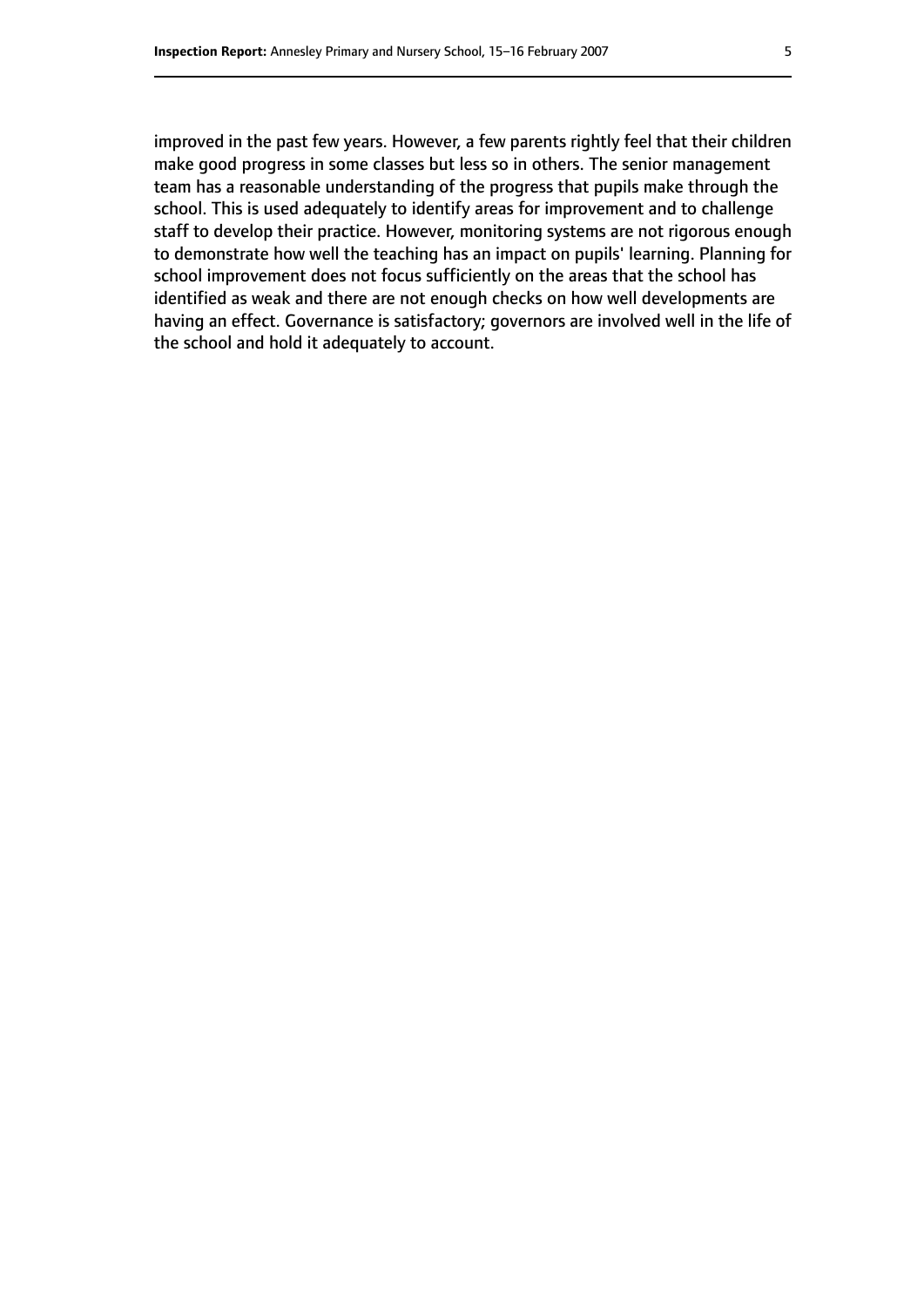improved in the past few years. However, a few parents rightly feel that their children make good progress in some classes but less so in others. The senior management team has a reasonable understanding of the progress that pupils make through the school. This is used adequately to identify areas for improvement and to challenge

staff to develop their practice. However, monitoring systems are not rigorous enough to demonstrate how well the teaching has an impact on pupils' learning. Planning for school improvement does not focus sufficiently on the areas that the school has identified as weak and there are not enough checks on how well developments are having an effect. Governance is satisfactory; governors are involved well in the life of the school and hold it adequately to account.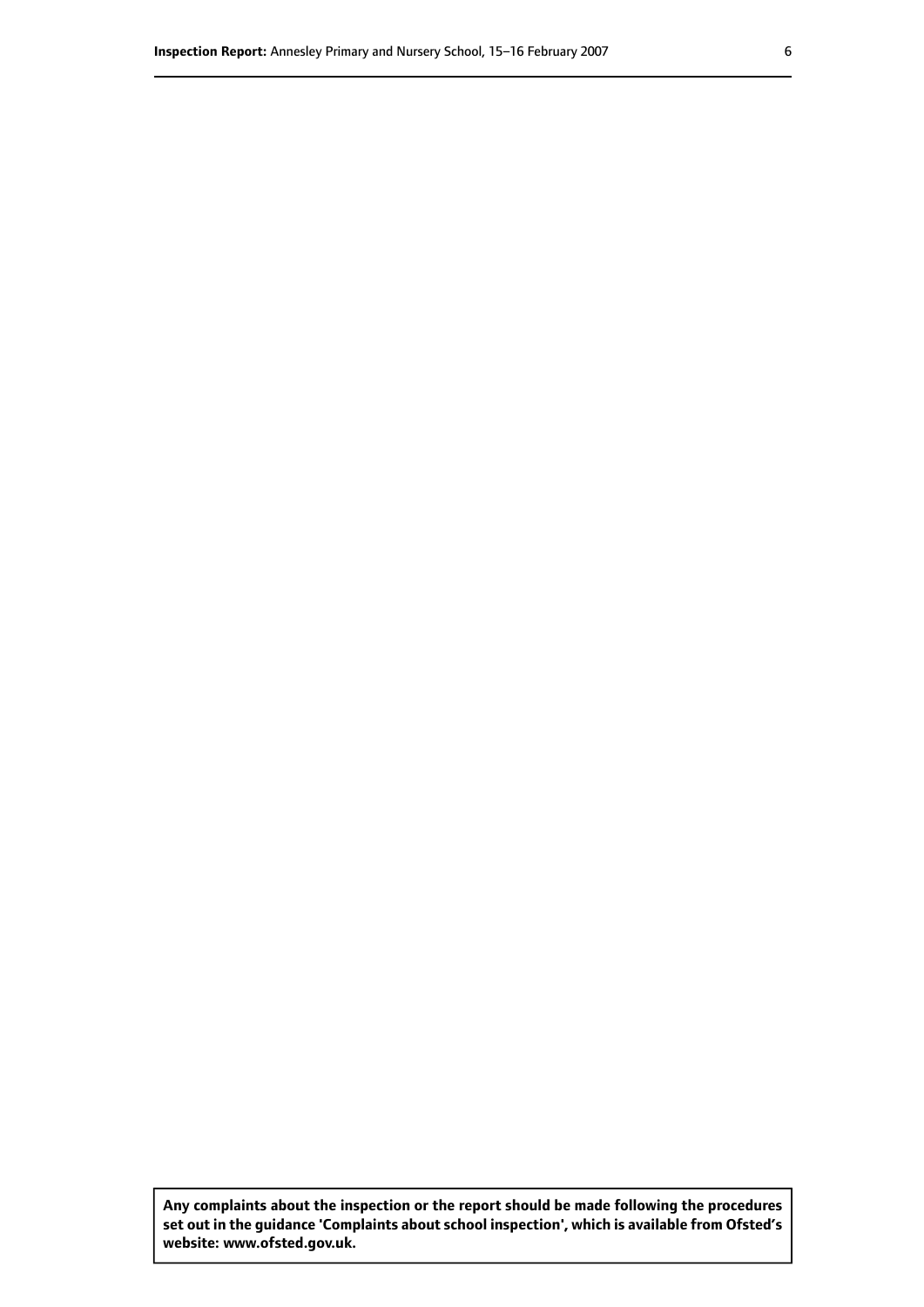**Any complaints about the inspection or the report should be made following the procedures set out inthe guidance 'Complaints about school inspection', whichis available from Ofsted's website: www.ofsted.gov.uk.**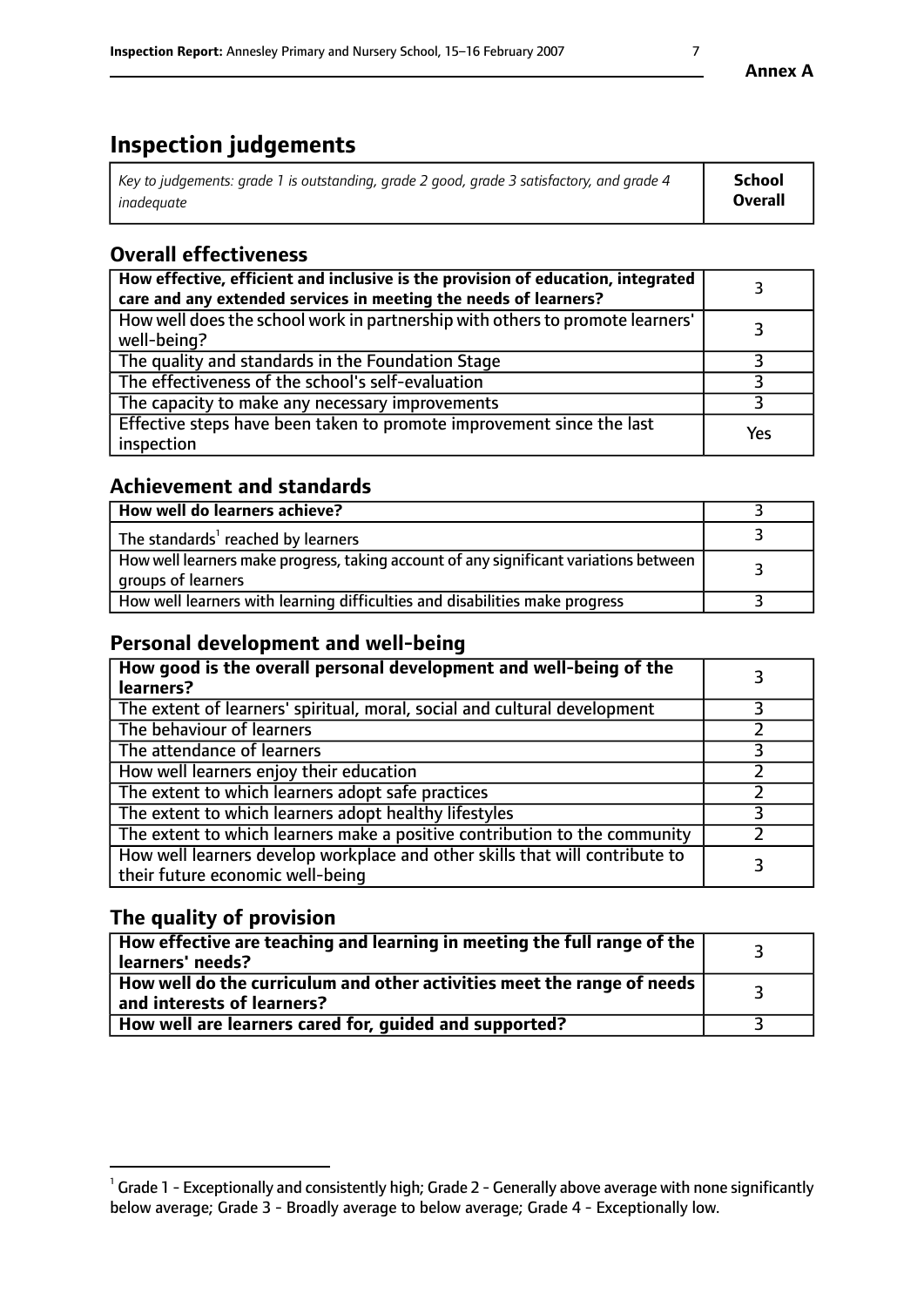# **Inspection judgements**

| Key to judgements: grade 1 is outstanding, grade 2 good, grade 3 satisfactory, and grade 4 | School         |
|--------------------------------------------------------------------------------------------|----------------|
| inadeauate                                                                                 | <b>Overall</b> |

# **Overall effectiveness**

| How effective, efficient and inclusive is the provision of education, integrated<br>care and any extended services in meeting the needs of learners? |     |
|------------------------------------------------------------------------------------------------------------------------------------------------------|-----|
| How well does the school work in partnership with others to promote learners'<br>well-being?                                                         |     |
| The quality and standards in the Foundation Stage                                                                                                    |     |
| The effectiveness of the school's self-evaluation                                                                                                    |     |
| The capacity to make any necessary improvements                                                                                                      |     |
| Effective steps have been taken to promote improvement since the last<br>inspection                                                                  | Yes |

## **Achievement and standards**

| How well do learners achieve?                                                                               |  |
|-------------------------------------------------------------------------------------------------------------|--|
| The standards <sup>1</sup> reached by learners                                                              |  |
| How well learners make progress, taking account of any significant variations between<br>groups of learners |  |
| How well learners with learning difficulties and disabilities make progress                                 |  |

## **Personal development and well-being**

| How good is the overall personal development and well-being of the<br>learners?                                  |  |
|------------------------------------------------------------------------------------------------------------------|--|
| The extent of learners' spiritual, moral, social and cultural development                                        |  |
| The behaviour of learners                                                                                        |  |
| The attendance of learners                                                                                       |  |
| How well learners enjoy their education                                                                          |  |
| The extent to which learners adopt safe practices                                                                |  |
| The extent to which learners adopt healthy lifestyles                                                            |  |
| The extent to which learners make a positive contribution to the community                                       |  |
| How well learners develop workplace and other skills that will contribute to<br>their future economic well-being |  |

## **The quality of provision**

| $\Box$ How effective are teaching and learning in meeting the full range of the $\Box$<br>  learners' needs?        |  |
|---------------------------------------------------------------------------------------------------------------------|--|
| $\mid$ How well do the curriculum and other activities meet the range of needs<br>$\mid$ and interests of learners? |  |
| How well are learners cared for, guided and supported?                                                              |  |

 $^1$  Grade 1 - Exceptionally and consistently high; Grade 2 - Generally above average with none significantly below average; Grade 3 - Broadly average to below average; Grade 4 - Exceptionally low.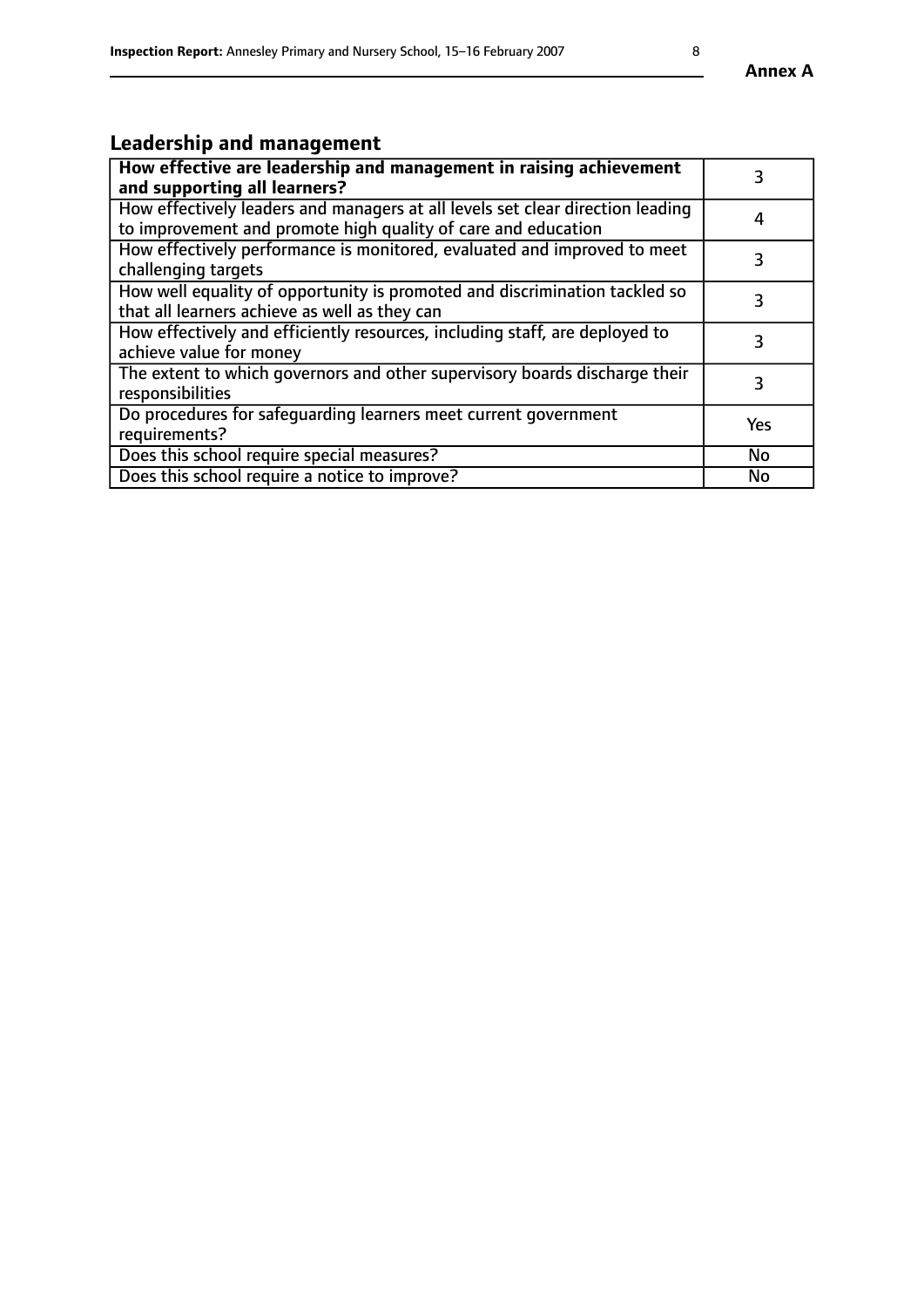# **Leadership and management**

| How effective are leadership and management in raising achievement<br>and supporting all learners?                                              | 3          |
|-------------------------------------------------------------------------------------------------------------------------------------------------|------------|
| How effectively leaders and managers at all levels set clear direction leading<br>to improvement and promote high quality of care and education | 4          |
| How effectively performance is monitored, evaluated and improved to meet<br>challenging targets                                                 | 3          |
| How well equality of opportunity is promoted and discrimination tackled so<br>that all learners achieve as well as they can                     |            |
| How effectively and efficiently resources, including staff, are deployed to<br>achieve value for money                                          | 3          |
| The extent to which governors and other supervisory boards discharge their<br>responsibilities                                                  | 3          |
| Do procedures for safequarding learners meet current government<br>requirements?                                                                | <b>Yes</b> |
| Does this school require special measures?                                                                                                      | No         |
| Does this school require a notice to improve?                                                                                                   | <b>No</b>  |